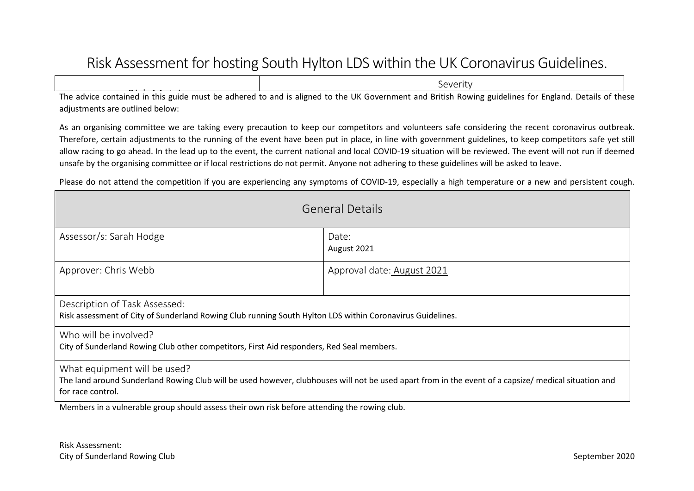## Risk Assessment for hosting South Hylton LDS within the UK Coronavirus Guidelines.

| severity |                                                                                                                                                       |  |  |
|----------|-------------------------------------------------------------------------------------------------------------------------------------------------------|--|--|
|          | The advice contained in this guide must be adhered to and is aligned to the UK Government and British Rowing guidelines for England. Details of these |  |  |

The advice contained in this guide must be adhered to and is aligned to the UK Government and British Rowing guidelines for England. Details of these adjustments are outlined below:

As an organising committee we are taking every precaution to keep our competitors and volunteers safe considering the recent coronavirus outbreak. Therefore, certain adjustments to the running of the event have been put in place, in line with government guidelines, to keep competitors safe yet still allow racing to go ahead. In the lead up to the event, the current national and local COVID-19 situation will be reviewed. The event will not run if deemed unsafe by the organising committee or if local restrictions do not permit. Anyone not adhering to these guidelines will be asked to leave.

Please do not attend the competition if you are experiencing any symptoms of COVID-19, especially a high temperature or a new and persistent cough.

| <b>General Details</b>                                                                                                                                                                                    |                      |  |  |  |  |
|-----------------------------------------------------------------------------------------------------------------------------------------------------------------------------------------------------------|----------------------|--|--|--|--|
| Assessor/s: Sarah Hodge                                                                                                                                                                                   | Date:<br>August 2021 |  |  |  |  |
| Approver: Chris Webb<br>Approval date: August 2021                                                                                                                                                        |                      |  |  |  |  |
| Description of Task Assessed:<br>Risk assessment of City of Sunderland Rowing Club running South Hylton LDS within Coronavirus Guidelines.                                                                |                      |  |  |  |  |
| Who will be involved?<br>City of Sunderland Rowing Club other competitors, First Aid responders, Red Seal members.                                                                                        |                      |  |  |  |  |
| What equipment will be used?<br>The land around Sunderland Rowing Club will be used however, clubhouses will not be used apart from in the event of a capsize/ medical situation and<br>for race control. |                      |  |  |  |  |
| Members in a vulnerable group should assess their own risk before attending the rowing club.                                                                                                              |                      |  |  |  |  |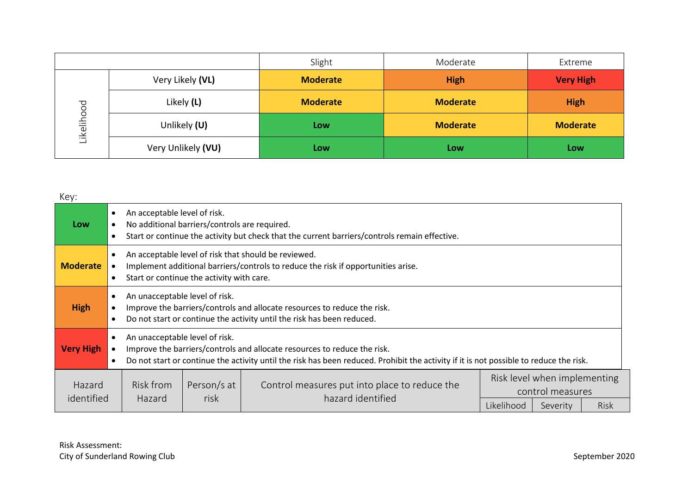|            |                    | Slight          | Moderate        | Extreme          |
|------------|--------------------|-----------------|-----------------|------------------|
| Likelihood | Very Likely (VL)   | <b>Moderate</b> | <b>High</b>     | <b>Very High</b> |
|            | Likely (L)         | <b>Moderate</b> | <b>Moderate</b> | <b>High</b>      |
|            | Unlikely (U)       | Low             | <b>Moderate</b> | <b>Moderate</b>  |
|            | Very Unlikely (VU) | Low             | Low             | Low              |

| Key:                 |                                                                                                                                                                                                                                                                                |                     |                                                                    |          |                                                  |  |  |  |
|----------------------|--------------------------------------------------------------------------------------------------------------------------------------------------------------------------------------------------------------------------------------------------------------------------------|---------------------|--------------------------------------------------------------------|----------|--------------------------------------------------|--|--|--|
| <b>Low</b>           | An acceptable level of risk.<br>$\bullet$<br>No additional barriers/controls are required.<br>Start or continue the activity but check that the current barriers/controls remain effective.<br>$\bullet$                                                                       |                     |                                                                    |          |                                                  |  |  |  |
| <b>Moderate</b>      | An acceptable level of risk that should be reviewed.<br>$\bullet$<br>Implement additional barriers/controls to reduce the risk if opportunities arise.<br>Start or continue the activity with care.<br>$\bullet$                                                               |                     |                                                                    |          |                                                  |  |  |  |
| <b>High</b>          | An unacceptable level of risk.<br>$\bullet$<br>Improve the barriers/controls and allocate resources to reduce the risk.<br>Do not start or continue the activity until the risk has been reduced.                                                                              |                     |                                                                    |          |                                                  |  |  |  |
| <b>Very High</b>     | An unacceptable level of risk.<br>$\bullet$<br>Improve the barriers/controls and allocate resources to reduce the risk.<br>Do not start or continue the activity until the risk has been reduced. Prohibit the activity if it is not possible to reduce the risk.<br>$\bullet$ |                     |                                                                    |          |                                                  |  |  |  |
| Hazard<br>identified | Risk from<br><b>Hazard</b>                                                                                                                                                                                                                                                     | Person/s at<br>risk | Control measures put into place to reduce the<br>hazard identified |          | Risk level when implementing<br>control measures |  |  |  |
|                      |                                                                                                                                                                                                                                                                                |                     | Likelihood                                                         | Severity | <b>Risk</b>                                      |  |  |  |

Ξ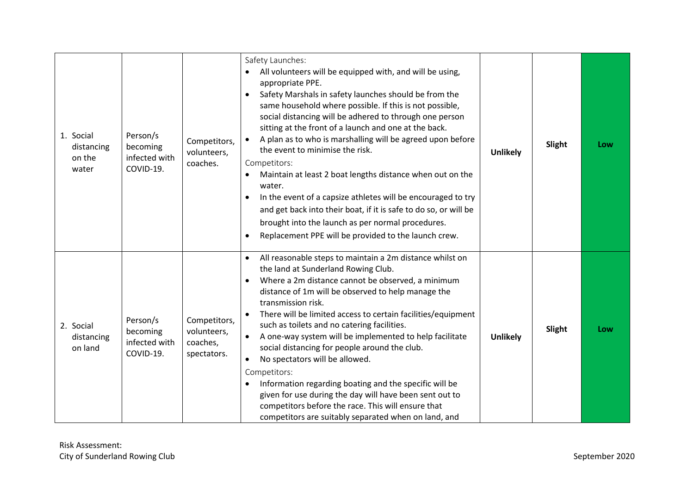| 1. Social<br>distancing<br>on the<br>water | Person/s<br>becoming<br>infected with<br>COVID-19. | Competitors,<br>volunteers,<br>coaches.                | Safety Launches:<br>All volunteers will be equipped with, and will be using,<br>appropriate PPE.<br>Safety Marshals in safety launches should be from the<br>same household where possible. If this is not possible,<br>social distancing will be adhered to through one person<br>sitting at the front of a launch and one at the back.<br>A plan as to who is marshalling will be agreed upon before<br>the event to minimise the risk.<br>Competitors:<br>Maintain at least 2 boat lengths distance when out on the<br>water.<br>In the event of a capsize athletes will be encouraged to try<br>$\bullet$<br>and get back into their boat, if it is safe to do so, or will be<br>brought into the launch as per normal procedures.<br>Replacement PPE will be provided to the launch crew. | <b>Unlikely</b> | Slight | Low |
|--------------------------------------------|----------------------------------------------------|--------------------------------------------------------|------------------------------------------------------------------------------------------------------------------------------------------------------------------------------------------------------------------------------------------------------------------------------------------------------------------------------------------------------------------------------------------------------------------------------------------------------------------------------------------------------------------------------------------------------------------------------------------------------------------------------------------------------------------------------------------------------------------------------------------------------------------------------------------------|-----------------|--------|-----|
| 2. Social<br>distancing<br>on land         | Person/s<br>becoming<br>infected with<br>COVID-19. | Competitors,<br>volunteers,<br>coaches,<br>spectators. | All reasonable steps to maintain a 2m distance whilst on<br>$\bullet$<br>the land at Sunderland Rowing Club.<br>Where a 2m distance cannot be observed, a minimum<br>distance of 1m will be observed to help manage the<br>transmission risk.<br>There will be limited access to certain facilities/equipment<br>such as toilets and no catering facilities.<br>A one-way system will be implemented to help facilitate<br>$\bullet$<br>social distancing for people around the club.<br>No spectators will be allowed.<br>$\bullet$<br>Competitors:<br>Information regarding boating and the specific will be<br>given for use during the day will have been sent out to<br>competitors before the race. This will ensure that<br>competitors are suitably separated when on land, and        | <b>Unlikely</b> | Slight | Low |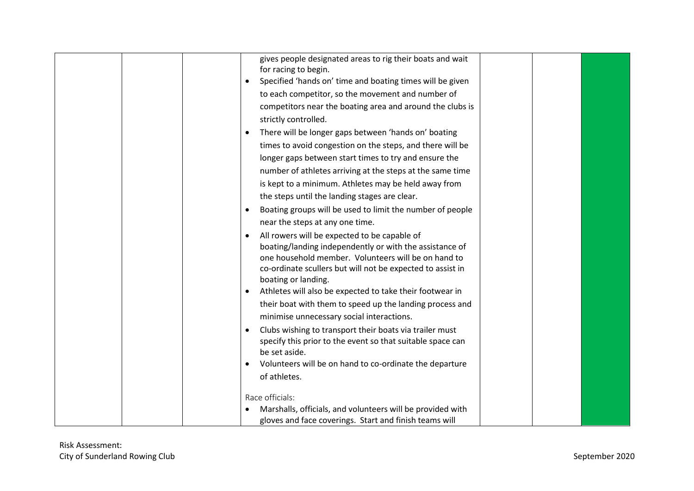|  | gives people designated areas to rig their boats and wait<br>for racing to begin.<br>Specified 'hands on' time and boating times will be given<br>to each competitor, so the movement and number of<br>competitors near the boating area and around the clubs is<br>strictly controlled.<br>There will be longer gaps between 'hands on' boating |
|--|--------------------------------------------------------------------------------------------------------------------------------------------------------------------------------------------------------------------------------------------------------------------------------------------------------------------------------------------------|
|  | times to avoid congestion on the steps, and there will be                                                                                                                                                                                                                                                                                        |
|  | longer gaps between start times to try and ensure the                                                                                                                                                                                                                                                                                            |
|  | number of athletes arriving at the steps at the same time                                                                                                                                                                                                                                                                                        |
|  | is kept to a minimum. Athletes may be held away from                                                                                                                                                                                                                                                                                             |
|  | the steps until the landing stages are clear.<br>Boating groups will be used to limit the number of people<br>$\bullet$                                                                                                                                                                                                                          |
|  | near the steps at any one time.                                                                                                                                                                                                                                                                                                                  |
|  | All rowers will be expected to be capable of                                                                                                                                                                                                                                                                                                     |
|  | boating/landing independently or with the assistance of<br>one household member. Volunteers will be on hand to<br>co-ordinate scullers but will not be expected to assist in<br>boating or landing.                                                                                                                                              |
|  | Athletes will also be expected to take their footwear in                                                                                                                                                                                                                                                                                         |
|  | their boat with them to speed up the landing process and<br>minimise unnecessary social interactions.                                                                                                                                                                                                                                            |
|  | Clubs wishing to transport their boats via trailer must<br>$\bullet$<br>specify this prior to the event so that suitable space can<br>be set aside.                                                                                                                                                                                              |
|  | Volunteers will be on hand to co-ordinate the departure                                                                                                                                                                                                                                                                                          |
|  | of athletes.                                                                                                                                                                                                                                                                                                                                     |
|  | Race officials:                                                                                                                                                                                                                                                                                                                                  |
|  | Marshalls, officials, and volunteers will be provided with                                                                                                                                                                                                                                                                                       |
|  | gloves and face coverings. Start and finish teams will                                                                                                                                                                                                                                                                                           |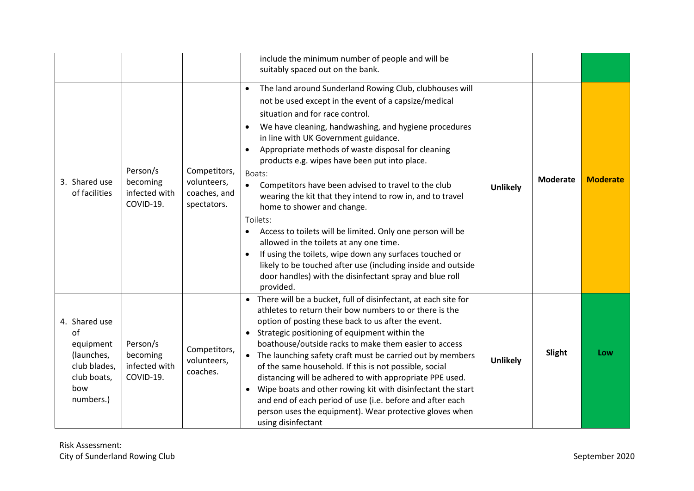|                                                                                                                                                                                                    | include the minimum number of people and will be<br>suitably spaced out on the bank.                                                                                                                                                                                                                                                                                                                                                                                                                                                                                                                                                                                                                                                                                                                                                                        |                 |                 |                 |
|----------------------------------------------------------------------------------------------------------------------------------------------------------------------------------------------------|-------------------------------------------------------------------------------------------------------------------------------------------------------------------------------------------------------------------------------------------------------------------------------------------------------------------------------------------------------------------------------------------------------------------------------------------------------------------------------------------------------------------------------------------------------------------------------------------------------------------------------------------------------------------------------------------------------------------------------------------------------------------------------------------------------------------------------------------------------------|-----------------|-----------------|-----------------|
| Person/s<br>Competitors,<br>3. Shared use<br>becoming<br>volunteers,<br>infected with<br>coaches, and<br>of facilities<br>COVID-19.<br>spectators.                                                 | The land around Sunderland Rowing Club, clubhouses will<br>not be used except in the event of a capsize/medical<br>situation and for race control.<br>We have cleaning, handwashing, and hygiene procedures<br>in line with UK Government guidance.<br>Appropriate methods of waste disposal for cleaning<br>products e.g. wipes have been put into place.<br>Boats:<br>Competitors have been advised to travel to the club<br>$\bullet$<br>wearing the kit that they intend to row in, and to travel<br>home to shower and change.<br>Toilets:<br>Access to toilets will be limited. Only one person will be<br>allowed in the toilets at any one time.<br>If using the toilets, wipe down any surfaces touched or<br>likely to be touched after use (including inside and outside<br>door handles) with the disinfectant spray and blue roll<br>provided. | <b>Unlikely</b> | <b>Moderate</b> | <b>Moderate</b> |
| 4. Shared use<br>of<br>Person/s<br>equipment<br>Competitors,<br>(launches,<br>becoming<br>volunteers,<br>infected with<br>club blades,<br>coaches.<br>COVID-19.<br>club boats,<br>bow<br>numbers.) | • There will be a bucket, full of disinfectant, at each site for<br>athletes to return their bow numbers to or there is the<br>option of posting these back to us after the event.<br>Strategic positioning of equipment within the<br>$\bullet$<br>boathouse/outside racks to make them easier to access<br>The launching safety craft must be carried out by members<br>$\bullet$<br>of the same household. If this is not possible, social<br>distancing will be adhered to with appropriate PPE used.<br>Wipe boats and other rowing kit with disinfectant the start<br>$\bullet$<br>and end of each period of use (i.e. before and after each<br>person uses the equipment). Wear protective gloves when<br>using disinfectant                                                                                                                         | <b>Unlikely</b> | Slight          | Low             |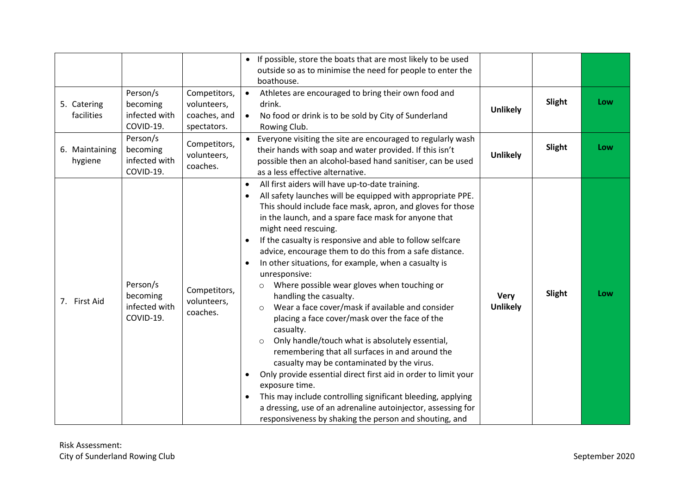|                           |                                                    |                                                            | If possible, store the boats that are most likely to be used<br>$\bullet$<br>outside so as to minimise the need for people to enter the<br>boathouse.                                                                                                                                                                                                                                                                                                                                                                                                                                                                                                                                                                                                                                                                                                                                                                                                                                                                                                                                                                                                |                                |        |     |
|---------------------------|----------------------------------------------------|------------------------------------------------------------|------------------------------------------------------------------------------------------------------------------------------------------------------------------------------------------------------------------------------------------------------------------------------------------------------------------------------------------------------------------------------------------------------------------------------------------------------------------------------------------------------------------------------------------------------------------------------------------------------------------------------------------------------------------------------------------------------------------------------------------------------------------------------------------------------------------------------------------------------------------------------------------------------------------------------------------------------------------------------------------------------------------------------------------------------------------------------------------------------------------------------------------------------|--------------------------------|--------|-----|
| 5. Catering<br>facilities | Person/s<br>becoming<br>infected with<br>COVID-19. | Competitors,<br>volunteers,<br>coaches, and<br>spectators. | Athletes are encouraged to bring their own food and<br>$\bullet$<br>drink.<br>No food or drink is to be sold by City of Sunderland<br>$\bullet$<br>Rowing Club.                                                                                                                                                                                                                                                                                                                                                                                                                                                                                                                                                                                                                                                                                                                                                                                                                                                                                                                                                                                      | <b>Unlikely</b>                | Slight | Low |
| 6. Maintaining<br>hygiene | Person/s<br>becoming<br>infected with<br>COVID-19. | Competitors,<br>volunteers,<br>coaches.                    | Everyone visiting the site are encouraged to regularly wash<br>their hands with soap and water provided. If this isn't<br>possible then an alcohol-based hand sanitiser, can be used<br>as a less effective alternative.                                                                                                                                                                                                                                                                                                                                                                                                                                                                                                                                                                                                                                                                                                                                                                                                                                                                                                                             | <b>Unlikely</b>                | Slight | Low |
| 7. First Aid              | Person/s<br>becoming<br>infected with<br>COVID-19. | Competitors,<br>volunteers,<br>coaches.                    | All first aiders will have up-to-date training.<br>$\bullet$<br>All safety launches will be equipped with appropriate PPE.<br>This should include face mask, apron, and gloves for those<br>in the launch, and a spare face mask for anyone that<br>might need rescuing.<br>If the casualty is responsive and able to follow selfcare<br>advice, encourage them to do this from a safe distance.<br>In other situations, for example, when a casualty is<br>$\bullet$<br>unresponsive:<br>Where possible wear gloves when touching or<br>$\circ$<br>handling the casualty.<br>Wear a face cover/mask if available and consider<br>$\circ$<br>placing a face cover/mask over the face of the<br>casualty.<br>Only handle/touch what is absolutely essential,<br>$\circ$<br>remembering that all surfaces in and around the<br>casualty may be contaminated by the virus.<br>Only provide essential direct first aid in order to limit your<br>exposure time.<br>This may include controlling significant bleeding, applying<br>a dressing, use of an adrenaline autoinjector, assessing for<br>responsiveness by shaking the person and shouting, and | <b>Very</b><br><b>Unlikely</b> | Slight | Low |